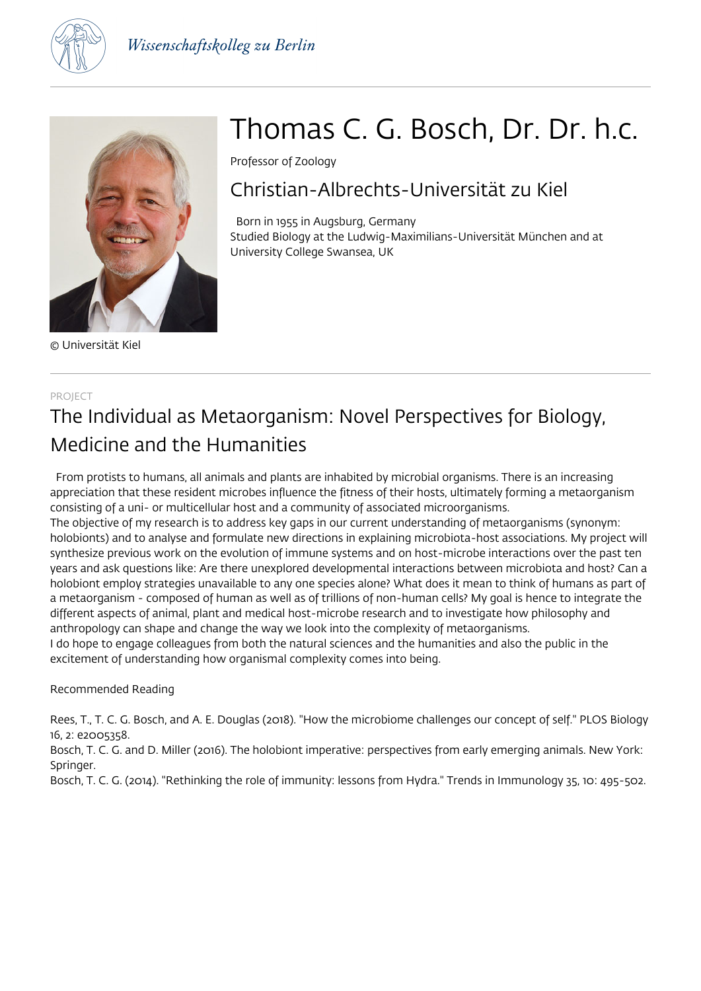



© Universität Kiel

# Thomas C. G. Bosch, Dr. Dr. h.c.

Professor of Zoology

### Christian-Albrechts-Universität zu Kiel

 Born in 1955 in Augsburg, Germany Studied Biology at the Ludwig-Maximilians-Universität München and at University College Swansea, UK

### PROJECT

### The Individual as Metaorganism: Novel Perspectives for Biology, Medicine and the Humanities

 From protists to humans, all animals and plants are inhabited by microbial organisms. There is an increasing appreciation that these resident microbes influence the fitness of their hosts, ultimately forming a metaorganism consisting of a uni- or multicellular host and a community of associated microorganisms.

The objective of my research is to address key gaps in our current understanding of metaorganisms (synonym: holobionts) and to analyse and formulate new directions in explaining microbiota-host associations. My project will synthesize previous work on the evolution of immune systems and on host-microbe interactions over the past ten years and ask questions like: Are there unexplored developmental interactions between microbiota and host? Can a holobiont employ strategies unavailable to any one species alone? What does it mean to think of humans as part of a metaorganism - composed of human as well as of trillions of non-human cells? My goal is hence to integrate the different aspects of animal, plant and medical host-microbe research and to investigate how philosophy and anthropology can shape and change the way we look into the complexity of metaorganisms.

I do hope to engage colleagues from both the natural sciences and the humanities and also the public in the excitement of understanding how organismal complexity comes into being.

#### Recommended Reading

Rees, T., T. C. G. Bosch, and A. E. Douglas (2018). "How the microbiome challenges our concept of self." PLOS Biology 16, 2: e2005358.

Bosch, T. C. G. and D. Miller (2016). The holobiont imperative: perspectives from early emerging animals. New York: Springer.

Bosch, T. C. G. (2014). "Rethinking the role of immunity: lessons from Hydra." Trends in Immunology 35, 10: 495-502.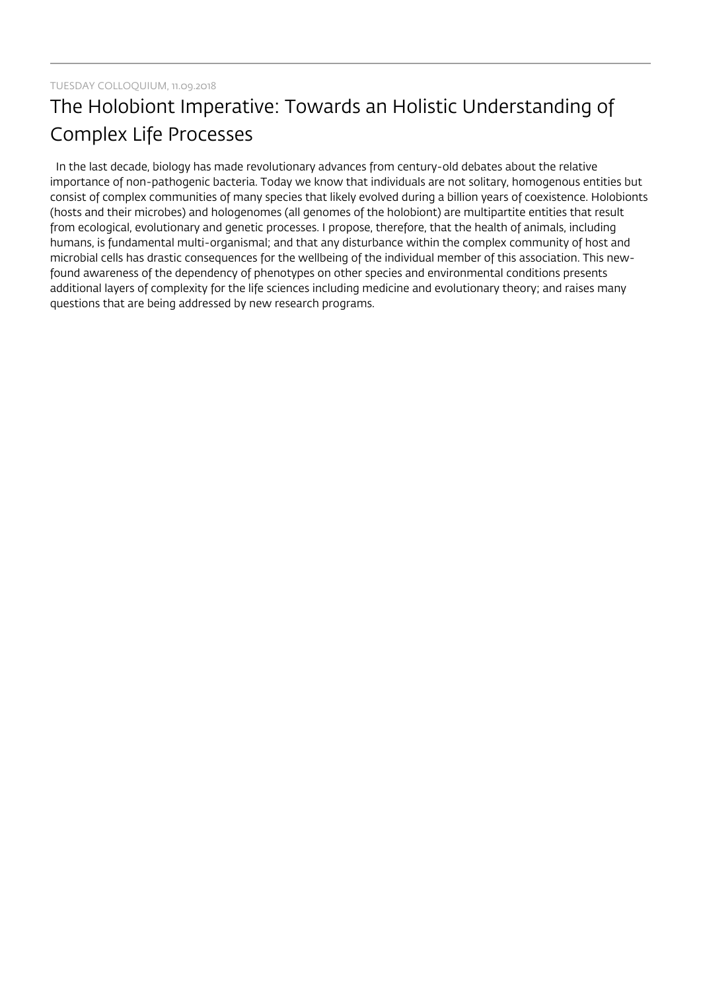## The Holobiont Imperative: Towards an Holistic Understanding of Complex Life Processes

 In the last decade, biology has made revolutionary advances from century-old debates about the relative importance of non-pathogenic bacteria. Today we know that individuals are not solitary, homogenous entities but consist of complex communities of many species that likely evolved during a billion years of coexistence. Holobionts (hosts and their microbes) and hologenomes (all genomes of the holobiont) are multipartite entities that result from ecological, evolutionary and genetic processes. I propose, therefore, that the health of animals, including humans, is fundamental multi-organismal; and that any disturbance within the complex community of host and microbial cells has drastic consequences for the wellbeing of the individual member of this association. This newfound awareness of the dependency of phenotypes on other species and environmental conditions presents additional layers of complexity for the life sciences including medicine and evolutionary theory; and raises many questions that are being addressed by new research programs.